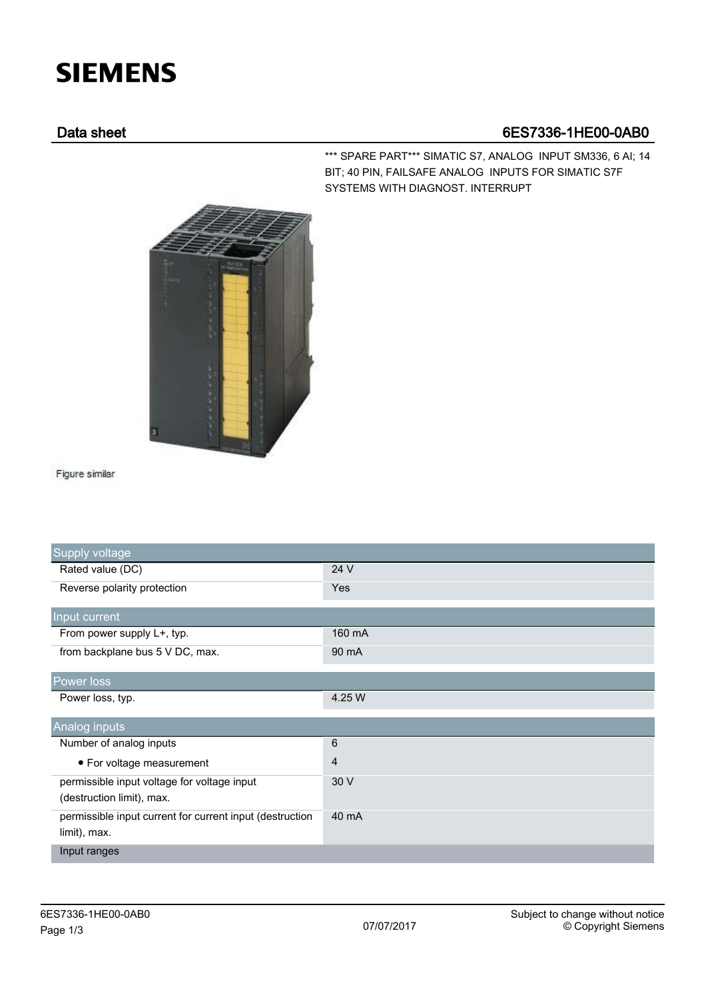## **SIEMENS**

## Data sheet 6ES7336-1HE00-0AB0

\*\*\* SPARE PART\*\*\* SIMATIC S7, ANALOG INPUT SM336, 6 AI; 14 BIT; 40 PIN, FAILSAFE ANALOG INPUTS FOR SIMATIC S7F SYSTEMS WITH DIAGNOST. INTERRUPT



Figure similar

| Supply voltage                                           |                |
|----------------------------------------------------------|----------------|
| Rated value (DC)                                         | 24 V           |
| Reverse polarity protection                              | Yes            |
| Input current                                            |                |
| From power supply L+, typ.                               | 160 mA         |
| from backplane bus 5 V DC, max.                          | 90 mA          |
| Power loss                                               |                |
| Power loss, typ.                                         | 4.25 W         |
| Analog inputs                                            |                |
| Number of analog inputs                                  | 6              |
| • For voltage measurement                                | $\overline{4}$ |
| permissible input voltage for voltage input              | 30 V           |
| (destruction limit), max.                                |                |
| permissible input current for current input (destruction | 40 mA          |
| limit), max.                                             |                |
| Input ranges                                             |                |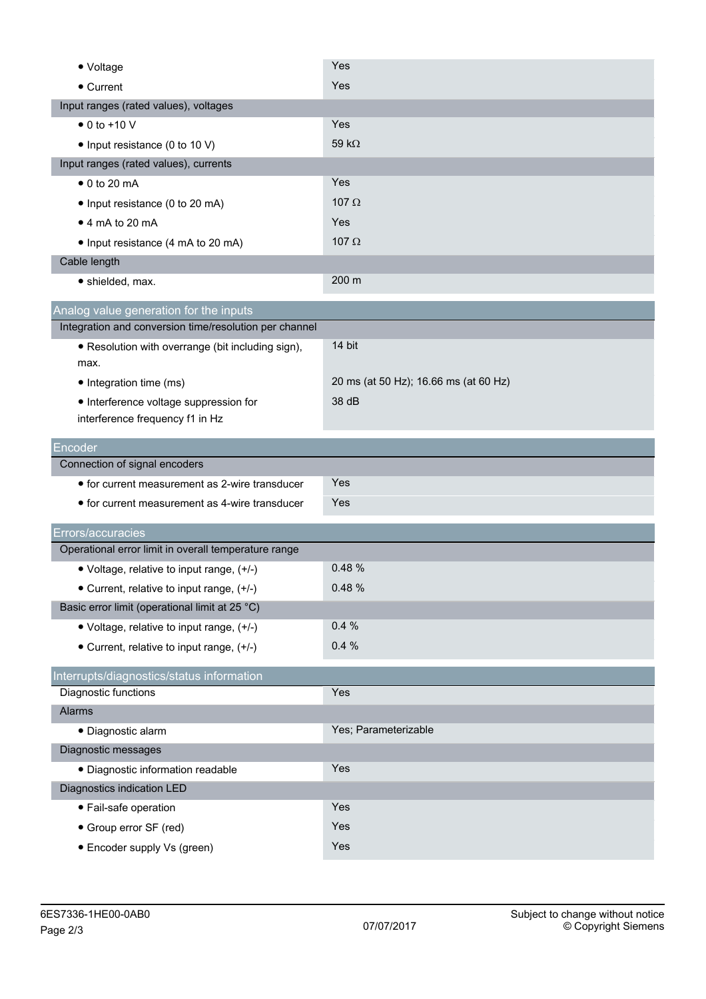| • Voltage                                              | Yes                                   |
|--------------------------------------------------------|---------------------------------------|
| • Current                                              | Yes                                   |
| Input ranges (rated values), voltages                  |                                       |
| $\bullet$ 0 to +10 V                                   | Yes                                   |
| • Input resistance (0 to 10 V)                         | 59 k $\Omega$                         |
| Input ranges (rated values), currents                  |                                       |
| $\bullet$ 0 to 20 mA                                   | Yes                                   |
| • Input resistance (0 to 20 mA)                        | 107 $\Omega$                          |
| $\bullet$ 4 mA to 20 mA                                | Yes                                   |
| • Input resistance (4 mA to 20 mA)                     | 107 $\Omega$                          |
| Cable length                                           |                                       |
| • shielded, max.                                       | 200 m                                 |
| Analog value generation for the inputs                 |                                       |
| Integration and conversion time/resolution per channel |                                       |
| • Resolution with overrange (bit including sign),      | 14 bit                                |
| max.                                                   |                                       |
| • Integration time (ms)                                | 20 ms (at 50 Hz); 16.66 ms (at 60 Hz) |
| • Interference voltage suppression for                 | 38 dB                                 |
| interference frequency f1 in Hz                        |                                       |
| Encoder                                                |                                       |
|                                                        |                                       |
| Connection of signal encoders                          |                                       |
| • for current measurement as 2-wire transducer         | Yes                                   |
| • for current measurement as 4-wire transducer         | Yes                                   |
| Errors/accuracies                                      |                                       |
| Operational error limit in overall temperature range   |                                       |
| • Voltage, relative to input range, (+/-)              | 0.48%                                 |
| Current, relative to input range, (+/-)                | 0.48 %                                |
| Basic error limit (operational limit at 25 °C)         |                                       |
| • Voltage, relative to input range, (+/-)              | 0.4%                                  |
| • Current, relative to input range, (+/-)              | 0.4%                                  |
| Interrupts/diagnostics/status information              |                                       |
| Diagnostic functions                                   | Yes                                   |
| Alarms                                                 |                                       |
| · Diagnostic alarm                                     | Yes; Parameterizable                  |
| Diagnostic messages                                    |                                       |
| · Diagnostic information readable                      | Yes                                   |
| Diagnostics indication LED                             |                                       |
| • Fail-safe operation                                  | Yes                                   |
| • Group error SF (red)                                 | Yes                                   |